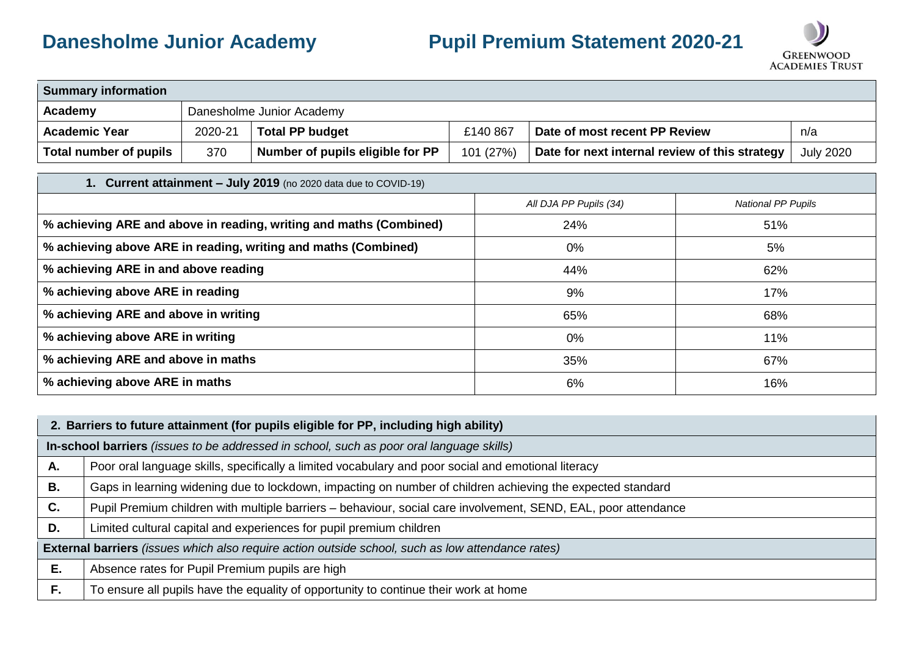## **Danesholme Junior Academy Pupil Premium Statement 2020-21**



| <b>Summary information</b> |         |                                  |           |                                                |                  |  |  |
|----------------------------|---------|----------------------------------|-----------|------------------------------------------------|------------------|--|--|
| Academy                    |         | Danesholme Junior Academy        |           |                                                |                  |  |  |
| <b>Academic Year</b>       | 2020-21 | <b>Total PP budget</b>           | £140 867  | Date of most recent PP Review                  | n/a              |  |  |
| Total number of pupils     | 370     | Number of pupils eligible for PP | 101 (27%) | Date for next internal review of this strategy | <b>July 2020</b> |  |  |

## **1. Current attainment – July 2019** (no 2020 data due to COVID-19) *All DJA PP Pupils (34) National PP Pupils* % achieving ARE and above in reading, writing and maths (Combined) <br>
24% 51% % achieving above ARE in reading, writing and maths (Combined)  $0\%$  0% 10% 0% **% achieving ARE in and above reading the set of the set of the set of the set of the set of the set of the set of the set of the set of the set of the set of the set of the set of the set of the set of the set of the set % achieving above ARE in reading the set of the set of the set of the set of the set of the set of the set of the set of the set of the set of the set of the set of the set of the set of the set of the set of the set of t % achieving ARE and above in writing**  $68\%$  **68% % achieving above ARE in writing the set of the set of the set of the set of the set of the set of the set of the set of the set of the set of the set of the set of the set of the set of the set of the set of the set of t % achieving ARE and above in maths** 67% **67% % achieving above ARE in maths** 16% 16% 16%

|    | 2. Barriers to future attainment (for pupils eligible for PP, including high ability)                          |  |  |  |  |
|----|----------------------------------------------------------------------------------------------------------------|--|--|--|--|
|    | In-school barriers (issues to be addressed in school, such as poor oral language skills)                       |  |  |  |  |
| Α. | Poor oral language skills, specifically a limited vocabulary and poor social and emotional literacy            |  |  |  |  |
| В. | Gaps in learning widening due to lockdown, impacting on number of children achieving the expected standard     |  |  |  |  |
| C. | Pupil Premium children with multiple barriers - behaviour, social care involvement, SEND, EAL, poor attendance |  |  |  |  |
| D. | Limited cultural capital and experiences for pupil premium children                                            |  |  |  |  |
|    | <b>External barriers</b> (issues which also require action outside school, such as low attendance rates)       |  |  |  |  |
| Е. | Absence rates for Pupil Premium pupils are high                                                                |  |  |  |  |
| F. | To ensure all pupils have the equality of opportunity to continue their work at home                           |  |  |  |  |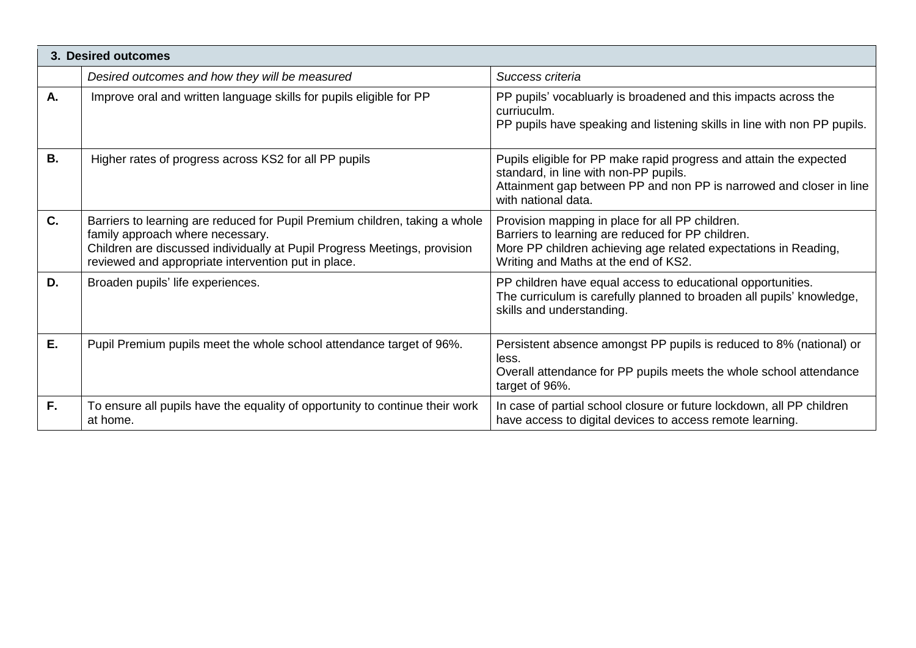|           | 3. Desired outcomes                                                                                                                                                                                                                                 |                                                                                                                                                                                                                 |
|-----------|-----------------------------------------------------------------------------------------------------------------------------------------------------------------------------------------------------------------------------------------------------|-----------------------------------------------------------------------------------------------------------------------------------------------------------------------------------------------------------------|
|           | Desired outcomes and how they will be measured                                                                                                                                                                                                      | Success criteria                                                                                                                                                                                                |
| Α.        | Improve oral and written language skills for pupils eligible for PP                                                                                                                                                                                 | PP pupils' vocabluarly is broadened and this impacts across the<br>curriuculm.<br>PP pupils have speaking and listening skills in line with non PP pupils.                                                      |
| <b>B.</b> | Higher rates of progress across KS2 for all PP pupils                                                                                                                                                                                               | Pupils eligible for PP make rapid progress and attain the expected<br>standard, in line with non-PP pupils.<br>Attainment gap between PP and non PP is narrowed and closer in line<br>with national data.       |
| C.        | Barriers to learning are reduced for Pupil Premium children, taking a whole<br>family approach where necessary.<br>Children are discussed individually at Pupil Progress Meetings, provision<br>reviewed and appropriate intervention put in place. | Provision mapping in place for all PP children.<br>Barriers to learning are reduced for PP children.<br>More PP children achieving age related expectations in Reading,<br>Writing and Maths at the end of KS2. |
| D.        | Broaden pupils' life experiences.                                                                                                                                                                                                                   | PP children have equal access to educational opportunities.<br>The curriculum is carefully planned to broaden all pupils' knowledge,<br>skills and understanding.                                               |
| Ε.        | Pupil Premium pupils meet the whole school attendance target of 96%.                                                                                                                                                                                | Persistent absence amongst PP pupils is reduced to 8% (national) or<br>less.<br>Overall attendance for PP pupils meets the whole school attendance<br>target of 96%.                                            |
| F.        | To ensure all pupils have the equality of opportunity to continue their work<br>at home.                                                                                                                                                            | In case of partial school closure or future lockdown, all PP children<br>have access to digital devices to access remote learning.                                                                              |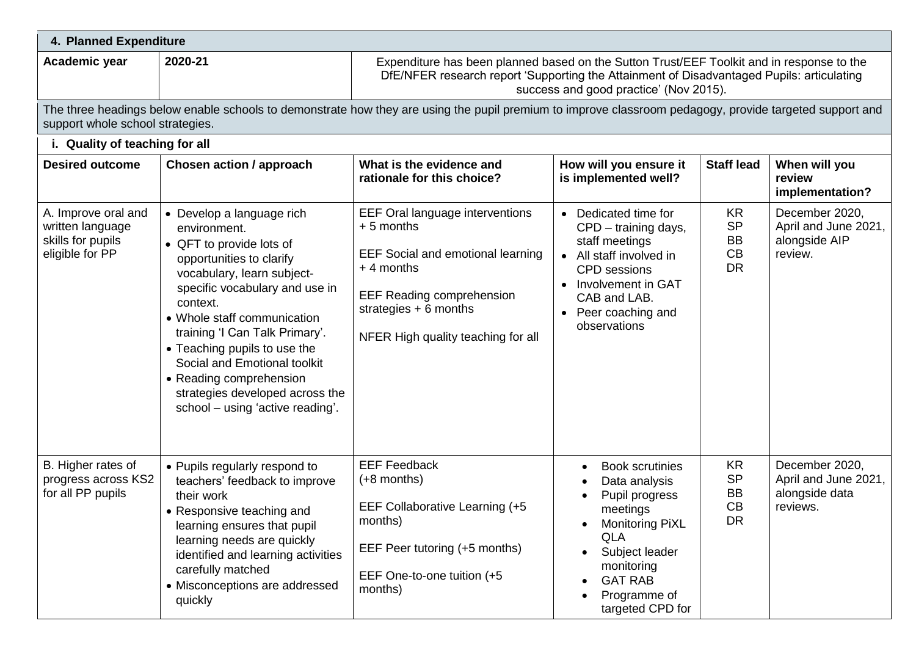| 4. Planned Expenditure                                                          |                                                                                                                                                                                                                                                                                                                                                                                                                  |                                                                                                                                                                                                                                  |                                                                                                                                                                                                           |                                                               |                                                                      |  |  |  |
|---------------------------------------------------------------------------------|------------------------------------------------------------------------------------------------------------------------------------------------------------------------------------------------------------------------------------------------------------------------------------------------------------------------------------------------------------------------------------------------------------------|----------------------------------------------------------------------------------------------------------------------------------------------------------------------------------------------------------------------------------|-----------------------------------------------------------------------------------------------------------------------------------------------------------------------------------------------------------|---------------------------------------------------------------|----------------------------------------------------------------------|--|--|--|
| Academic year                                                                   | 2020-21                                                                                                                                                                                                                                                                                                                                                                                                          | Expenditure has been planned based on the Sutton Trust/EEF Toolkit and in response to the<br>DfE/NFER research report 'Supporting the Attainment of Disadvantaged Pupils: articulating<br>success and good practice' (Nov 2015). |                                                                                                                                                                                                           |                                                               |                                                                      |  |  |  |
|                                                                                 | The three headings below enable schools to demonstrate how they are using the pupil premium to improve classroom pedagogy, provide targeted support and<br>support whole school strategies.                                                                                                                                                                                                                      |                                                                                                                                                                                                                                  |                                                                                                                                                                                                           |                                                               |                                                                      |  |  |  |
| i. Quality of teaching for all                                                  |                                                                                                                                                                                                                                                                                                                                                                                                                  |                                                                                                                                                                                                                                  |                                                                                                                                                                                                           |                                                               |                                                                      |  |  |  |
| <b>Desired outcome</b>                                                          | <b>Chosen action / approach</b>                                                                                                                                                                                                                                                                                                                                                                                  | What is the evidence and<br>rationale for this choice?                                                                                                                                                                           | How will you ensure it<br>is implemented well?                                                                                                                                                            | <b>Staff lead</b>                                             | When will you<br>review<br>implementation?                           |  |  |  |
| A. Improve oral and<br>written language<br>skills for pupils<br>eligible for PP | • Develop a language rich<br>environment.<br>• QFT to provide lots of<br>opportunities to clarify<br>vocabulary, learn subject-<br>specific vocabulary and use in<br>context.<br>• Whole staff communication<br>training 'I Can Talk Primary'.<br>• Teaching pupils to use the<br>Social and Emotional toolkit<br>• Reading comprehension<br>strategies developed across the<br>school - using 'active reading'. | EEF Oral language interventions<br>$+5$ months<br><b>EEF Social and emotional learning</b><br>$+4$ months<br><b>EEF Reading comprehension</b><br>strategies $+ 6$ months<br>NFER High quality teaching for all                   | • Dedicated time for<br>CPD - training days,<br>staff meetings<br>• All staff involved in<br><b>CPD</b> sessions<br>• Involvement in GAT<br>CAB and LAB.<br>Peer coaching and<br>observations             | <b>KR</b><br><b>SP</b><br><b>BB</b><br>CB<br><b>DR</b>        | December 2020,<br>April and June 2021,<br>alongside AIP<br>review.   |  |  |  |
| B. Higher rates of<br>progress across KS2<br>for all PP pupils                  | • Pupils regularly respond to<br>teachers' feedback to improve<br>their work<br>• Responsive teaching and<br>learning ensures that pupil<br>learning needs are quickly<br>identified and learning activities<br>carefully matched<br>• Misconceptions are addressed<br>quickly                                                                                                                                   | <b>EEF Feedback</b><br>$(+8$ months)<br>EEF Collaborative Learning (+5<br>months)<br>EEF Peer tutoring (+5 months)<br>EEF One-to-one tuition (+5<br>months)                                                                      | <b>Book scrutinies</b><br>$\bullet$<br>Data analysis<br>Pupil progress<br>meetings<br>Monitoring PiXL<br><b>QLA</b><br>Subject leader<br>monitoring<br><b>GAT RAB</b><br>Programme of<br>targeted CPD for | <b>KR</b><br><b>SP</b><br><b>BB</b><br><b>CB</b><br><b>DR</b> | December 2020,<br>April and June 2021,<br>alongside data<br>reviews. |  |  |  |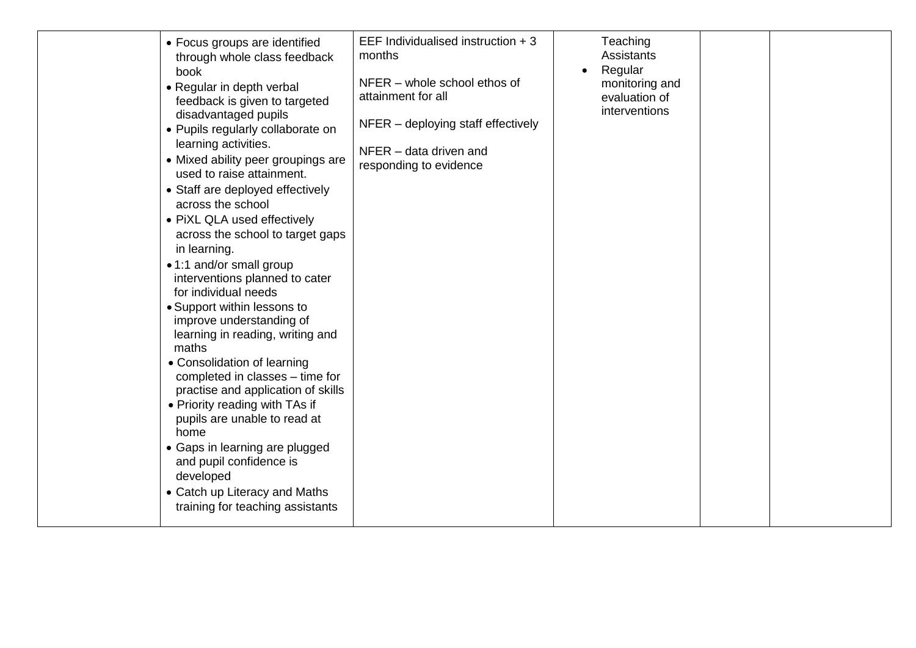| • Focus groups are identified<br>through whole class feedback<br>book<br>• Regular in depth verbal<br>feedback is given to targeted<br>disadvantaged pupils<br>• Pupils regularly collaborate on<br>learning activities.<br>• Mixed ability peer groupings are<br>used to raise attainment.<br>• Staff are deployed effectively<br>across the school<br>• PiXL QLA used effectively<br>across the school to target gaps<br>in learning.<br>• 1:1 and/or small group<br>interventions planned to cater<br>for individual needs<br>• Support within lessons to<br>improve understanding of<br>learning in reading, writing and<br>maths<br>• Consolidation of learning<br>completed in classes – time for<br>practise and application of skills<br>• Priority reading with TAs if<br>pupils are unable to read at<br>home<br>• Gaps in learning are plugged<br>and pupil confidence is<br>developed<br>• Catch up Literacy and Maths<br>training for teaching assistants | EEF Individualised instruction + 3<br>months<br>NFER - whole school ethos of<br>attainment for all<br>$NFER$ – deploying staff effectively<br>NFER - data driven and<br>responding to evidence | Teaching<br><b>Assistants</b><br>Regular<br>monitoring and<br>evaluation of<br>interventions |  |  |
|------------------------------------------------------------------------------------------------------------------------------------------------------------------------------------------------------------------------------------------------------------------------------------------------------------------------------------------------------------------------------------------------------------------------------------------------------------------------------------------------------------------------------------------------------------------------------------------------------------------------------------------------------------------------------------------------------------------------------------------------------------------------------------------------------------------------------------------------------------------------------------------------------------------------------------------------------------------------|------------------------------------------------------------------------------------------------------------------------------------------------------------------------------------------------|----------------------------------------------------------------------------------------------|--|--|
|------------------------------------------------------------------------------------------------------------------------------------------------------------------------------------------------------------------------------------------------------------------------------------------------------------------------------------------------------------------------------------------------------------------------------------------------------------------------------------------------------------------------------------------------------------------------------------------------------------------------------------------------------------------------------------------------------------------------------------------------------------------------------------------------------------------------------------------------------------------------------------------------------------------------------------------------------------------------|------------------------------------------------------------------------------------------------------------------------------------------------------------------------------------------------|----------------------------------------------------------------------------------------------|--|--|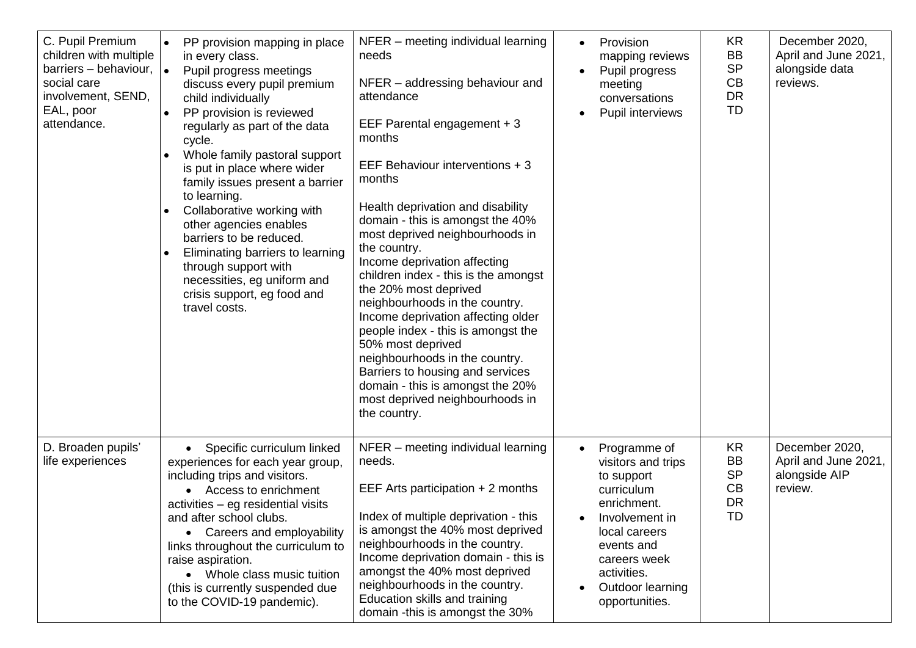| C. Pupil Premium<br>children with multiple<br>barriers – behaviour, $\vert \bullet \vert$<br>social care<br>involvement, SEND,<br>EAL, poor<br>attendance. | PP provision mapping in place<br>$\bullet$<br>in every class.<br>Pupil progress meetings<br>discuss every pupil premium<br>child individually<br>PP provision is reviewed<br>$\bullet$<br>regularly as part of the data<br>cycle.<br>Whole family pastoral support<br>is put in place where wider<br>family issues present a barrier<br>to learning.<br>Collaborative working with<br>$\bullet$<br>other agencies enables<br>barriers to be reduced.<br>Eliminating barriers to learning<br>through support with<br>necessities, eg uniform and<br>crisis support, eg food and<br>travel costs. | NFER - meeting individual learning<br>needs<br>NFER – addressing behaviour and<br>attendance<br>EEF Parental engagement + 3<br>months<br>EEF Behaviour interventions + 3<br>months<br>Health deprivation and disability<br>domain - this is amongst the 40%<br>most deprived neighbourhoods in<br>the country.<br>Income deprivation affecting<br>children index - this is the amongst<br>the 20% most deprived<br>neighbourhoods in the country.<br>Income deprivation affecting older<br>people index - this is amongst the<br>50% most deprived<br>neighbourhoods in the country.<br>Barriers to housing and services<br>domain - this is amongst the 20%<br>most deprived neighbourhoods in<br>the country. | Provision<br>mapping reviews<br>Pupil progress<br>meeting<br>conversations<br>Pupil interviews                                                                                                      | <b>KR</b><br><b>BB</b><br><b>SP</b><br>CB<br><b>DR</b><br><b>TD</b> | December 2020,<br>April and June 2021,<br>alongside data<br>reviews. |
|------------------------------------------------------------------------------------------------------------------------------------------------------------|-------------------------------------------------------------------------------------------------------------------------------------------------------------------------------------------------------------------------------------------------------------------------------------------------------------------------------------------------------------------------------------------------------------------------------------------------------------------------------------------------------------------------------------------------------------------------------------------------|-----------------------------------------------------------------------------------------------------------------------------------------------------------------------------------------------------------------------------------------------------------------------------------------------------------------------------------------------------------------------------------------------------------------------------------------------------------------------------------------------------------------------------------------------------------------------------------------------------------------------------------------------------------------------------------------------------------------|-----------------------------------------------------------------------------------------------------------------------------------------------------------------------------------------------------|---------------------------------------------------------------------|----------------------------------------------------------------------|
| D. Broaden pupils'<br>life experiences                                                                                                                     | Specific curriculum linked<br>$\bullet$<br>experiences for each year group,<br>including trips and visitors.<br>• Access to enrichment<br>activities – eg residential visits<br>and after school clubs.<br>• Careers and employability<br>links throughout the curriculum to<br>raise aspiration.<br>• Whole class music tuition<br>(this is currently suspended due<br>to the COVID-19 pandemic).                                                                                                                                                                                              | NFER - meeting individual learning<br>needs.<br>EEF Arts participation $+ 2$ months<br>Index of multiple deprivation - this<br>is amongst the 40% most deprived<br>neighbourhoods in the country.<br>Income deprivation domain - this is<br>amongst the 40% most deprived<br>neighbourhoods in the country.<br>Education skills and training<br>domain -this is amongst the 30%                                                                                                                                                                                                                                                                                                                                 | Programme of<br>visitors and trips<br>to support<br>curriculum<br>enrichment.<br>Involvement in<br>local careers<br>events and<br>careers week<br>activities.<br>Outdoor learning<br>opportunities. | KR<br><b>BB</b><br><b>SP</b><br>CB<br><b>DR</b><br><b>TD</b>        | December 2020,<br>April and June 2021,<br>alongside AIP<br>review.   |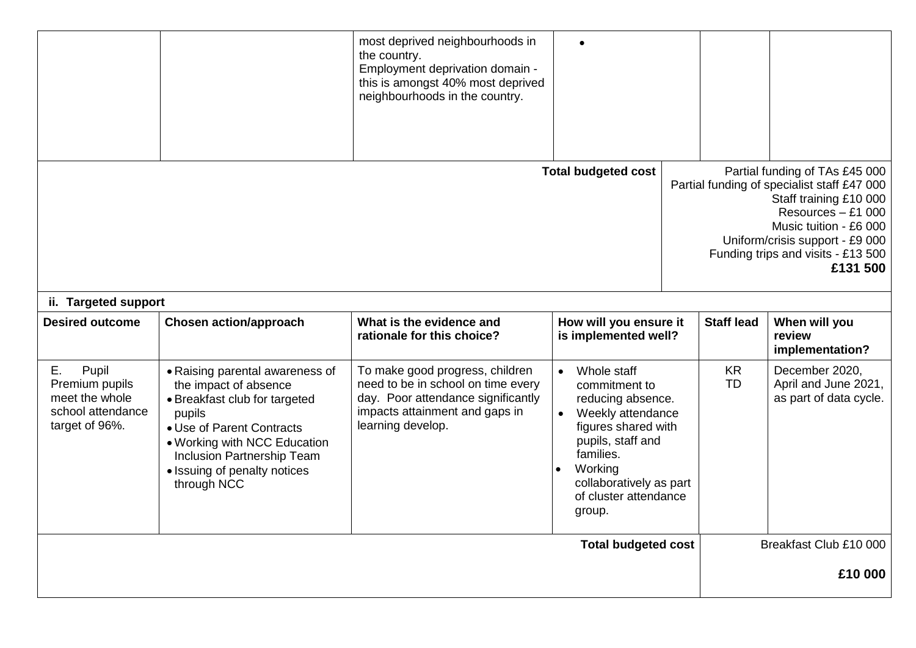|                                                                                        |                                                                                                                                                                                                                                               | most deprived neighbourhoods in<br>the country.<br>Employment deprivation domain -<br>this is amongst 40% most deprived<br>neighbourhoods in the country.          |                                                                                                                                                                                                          |                        |                                                                                                                                                                                                                                              |
|----------------------------------------------------------------------------------------|-----------------------------------------------------------------------------------------------------------------------------------------------------------------------------------------------------------------------------------------------|--------------------------------------------------------------------------------------------------------------------------------------------------------------------|----------------------------------------------------------------------------------------------------------------------------------------------------------------------------------------------------------|------------------------|----------------------------------------------------------------------------------------------------------------------------------------------------------------------------------------------------------------------------------------------|
| ii. Targeted support                                                                   |                                                                                                                                                                                                                                               |                                                                                                                                                                    | <b>Total budgeted cost</b>                                                                                                                                                                               |                        | Partial funding of TAs £45 000<br>Partial funding of specialist staff £47 000<br>Staff training £10 000<br>Resources - £1 000<br>Music tuition - £6 000<br>Uniform/crisis support - £9 000<br>Funding trips and visits - £13 500<br>£131 500 |
| <b>Desired outcome</b>                                                                 | <b>Chosen action/approach</b>                                                                                                                                                                                                                 | What is the evidence and<br>rationale for this choice?                                                                                                             | How will you ensure it<br>is implemented well?                                                                                                                                                           | <b>Staff lead</b>      | When will you<br>review<br>implementation?                                                                                                                                                                                                   |
| Ε.<br>Pupil<br>Premium pupils<br>meet the whole<br>school attendance<br>target of 96%. | • Raising parental awareness of<br>the impact of absence<br>• Breakfast club for targeted<br>pupils<br>• Use of Parent Contracts<br>• Working with NCC Education<br>Inclusion Partnership Team<br>• Issuing of penalty notices<br>through NCC | To make good progress, children<br>need to be in school on time every<br>day. Poor attendance significantly<br>impacts attainment and gaps in<br>learning develop. | Whole staff<br>commitment to<br>reducing absence.<br>Weekly attendance<br>figures shared with<br>pupils, staff and<br>families.<br>Working<br>collaboratively as part<br>of cluster attendance<br>group. | <b>KR</b><br><b>TD</b> | December 2020,<br>April and June 2021,<br>as part of data cycle.                                                                                                                                                                             |
|                                                                                        |                                                                                                                                                                                                                                               |                                                                                                                                                                    | <b>Total budgeted cost</b>                                                                                                                                                                               |                        | Breakfast Club £10 000<br>£10 000                                                                                                                                                                                                            |